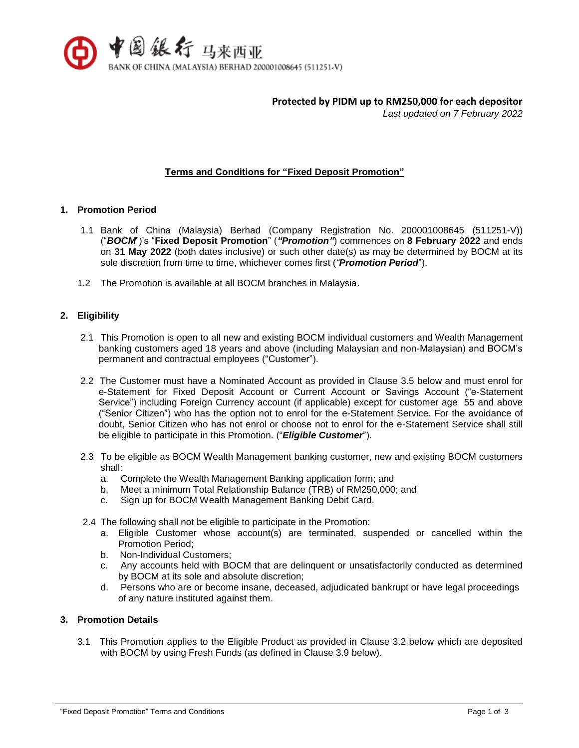

**Protected by PIDM up to RM250,000 for each depositor**

*Last updated on 7 February 2022*

## **Terms and Conditions for "Fixed Deposit Promotion"**

#### **1. Promotion Period**

- 1.1 Bank of China (Malaysia) Berhad (Company Registration No. 200001008645 (511251-V)) ("*BOCM*")'s "**Fixed Deposit Promotion**" (*"Promotion"*) commences on **8 February 2022** and ends on **31 May 2022** (both dates inclusive) or such other date(s) as may be determined by BOCM at its sole discretion from time to time, whichever comes first (*"Promotion Period*").
- 1.2 The Promotion is available at all BOCM branches in Malaysia.

## **2. Eligibility**

- 2.1 This Promotion is open to all new and existing BOCM individual customers and Wealth Management banking customers aged 18 years and above (including Malaysian and non-Malaysian) and BOCM's permanent and contractual employees ("Customer").
- 2.2 The Customer must have a Nominated Account as provided in Clause 3.5 below and must enrol for e-Statement for Fixed Deposit Account or Current Account or Savings Account ("e-Statement Service") including Foreign Currency account (if applicable) except for customer age 55 and above ("Senior Citizen") who has the option not to enrol for the e-Statement Service. For the avoidance of doubt, Senior Citizen who has not enrol or choose not to enrol for the e-Statement Service shall still be eligible to participate in this Promotion. ("*Eligible Customer*").
- 2.3 To be eligible as BOCM Wealth Management banking customer, new and existing BOCM customers shall:
	- a. Complete the Wealth Management Banking application form; and
	- b. Meet a minimum Total Relationship Balance (TRB) of RM250,000; and
	- c. Sign up for BOCM Wealth Management Banking Debit Card.
- 2.4 The following shall not be eligible to participate in the Promotion:
	- a. Eligible Customer whose account(s) are terminated, suspended or cancelled within the Promotion Period;
	- b. Non-Individual Customers;
	- c. Any accounts held with BOCM that are delinquent or unsatisfactorily conducted as determined by BOCM at its sole and absolute discretion;
	- d. Persons who are or become insane, deceased, adjudicated bankrupt or have legal proceedings of any nature instituted against them.

# **3. Promotion Details**

3.1 This Promotion applies to the Eligible Product as provided in Clause 3.2 below which are deposited with BOCM by using Fresh Funds (as defined in Clause 3.9 below).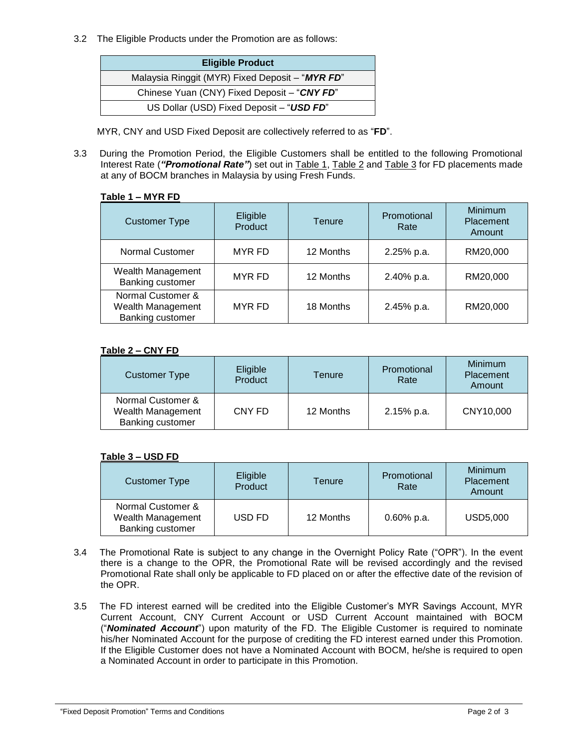3.2 The Eligible Products under the Promotion are as follows:

| <b>Eligible Product</b>                         |
|-------------------------------------------------|
| Malaysia Ringgit (MYR) Fixed Deposit - "MYR FD" |
| Chinese Yuan (CNY) Fixed Deposit - "CNY FD"     |
| US Dollar (USD) Fixed Deposit - "USD FD"        |

MYR, CNY and USD Fixed Deposit are collectively referred to as "**FD**".

3.3 During the Promotion Period, the Eligible Customers shall be entitled to the following Promotional Interest Rate (*"Promotional Rate"*) set out in Table 1, Table 2 and Table 3 for FD placements made at any of BOCM branches in Malaysia by using Fresh Funds.

#### **Table 1 – MYR FD**

| <b>Customer Type</b>                                       | Eligible<br>Product | Tenure    | Promotional<br>Rate | Minimum<br>Placement<br>Amount |
|------------------------------------------------------------|---------------------|-----------|---------------------|--------------------------------|
| <b>Normal Customer</b>                                     | MYR FD              | 12 Months | 2.25% p.a.          | RM20,000                       |
| Wealth Management<br>Banking customer                      | MYR FD              | 12 Months | 2.40% p.a.          | RM20,000                       |
| Normal Customer &<br>Wealth Management<br>Banking customer | <b>MYR FD</b>       | 18 Months | 2.45% p.a.          | RM20,000                       |

#### **Table 2 – CNY FD**

| <b>Customer Type</b>                                       | Eligible<br>Product | Tenure    | Promotional<br>Rate | <b>Minimum</b><br>Placement<br>Amount |
|------------------------------------------------------------|---------------------|-----------|---------------------|---------------------------------------|
| Normal Customer &<br>Wealth Management<br>Banking customer | CNY FD              | 12 Months | $2.15%$ p.a.        | CNY10,000                             |

## **Table 3 – USD FD**

| <b>Customer Type</b>                                              | Eligible<br>Product | Tenure    | Promotional<br>Rate | <b>Minimum</b><br>Placement<br>Amount |
|-------------------------------------------------------------------|---------------------|-----------|---------------------|---------------------------------------|
| Normal Customer &<br>Wealth Management<br><b>Banking customer</b> | USD FD              | 12 Months | $0.60\%$ p.a.       | <b>USD5,000</b>                       |

- 3.4 The Promotional Rate is subject to any change in the Overnight Policy Rate ("OPR"). In the event there is a change to the OPR, the Promotional Rate will be revised accordingly and the revised Promotional Rate shall only be applicable to FD placed on or after the effective date of the revision of the OPR.
- 3.5 The FD interest earned will be credited into the Eligible Customer's MYR Savings Account, MYR Current Account, CNY Current Account or USD Current Account maintained with BOCM ("*Nominated Account*") upon maturity of the FD. The Eligible Customer is required to nominate his/her Nominated Account for the purpose of crediting the FD interest earned under this Promotion. If the Eligible Customer does not have a Nominated Account with BOCM, he/she is required to open a Nominated Account in order to participate in this Promotion.